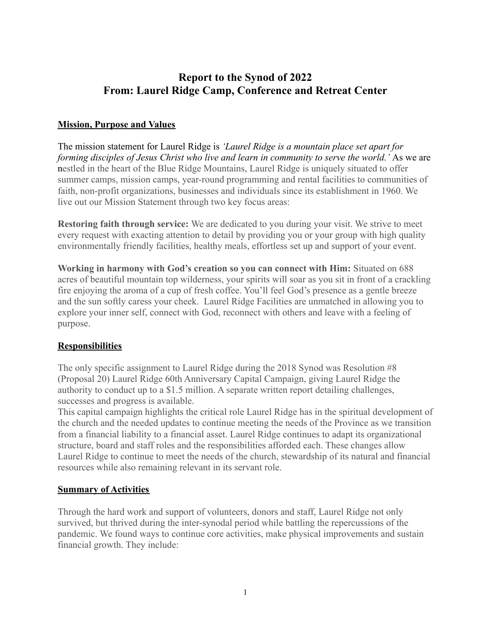# **Report to the Synod of 2022 From: Laurel Ridge Camp, Conference and Retreat Center**

## **Mission, Purpose and Values**

The mission statement for Laurel Ridge is *'Laurel Ridge is a mountain place set apart for forming disciples of Jesus Christ who live and learn in community to serve the world.'* As we are nestled in the heart of the Blue Ridge Mountains, Laurel Ridge is uniquely situated to offer summer camps, mission camps, year-round programming and rental facilities to communities of faith, non-profit organizations, businesses and individuals since its establishment in 1960. We live out our Mission Statement through two key focus areas:

**Restoring faith through service:** We are dedicated to you during your visit. We strive to meet every request with exacting attention to detail by providing you or your group with high quality environmentally friendly facilities, healthy meals, effortless set up and support of your event.

**Working in harmony with God's creation so you can connect with Him:** Situated on 688 acres of beautiful mountain top wilderness, your spirits will soar as you sit in front of a crackling fire enjoying the aroma of a cup of fresh coffee. You'll feel God's presence as a gentle breeze and the sun softly caress your cheek. Laurel Ridge Facilities are unmatched in allowing you to explore your inner self, connect with God, reconnect with others and leave with a feeling of purpose.

## **Responsibilities**

The only specific assignment to Laurel Ridge during the 2018 Synod was Resolution #8 (Proposal 20) Laurel Ridge 60th Anniversary Capital Campaign, giving Laurel Ridge the authority to conduct up to a \$1.5 million. A separate written report detailing challenges, successes and progress is available.

This capital campaign highlights the critical role Laurel Ridge has in the spiritual development of the church and the needed updates to continue meeting the needs of the Province as we transition from a financial liability to a financial asset. Laurel Ridge continues to adapt its organizational structure, board and staff roles and the responsibilities afforded each. These changes allow Laurel Ridge to continue to meet the needs of the church, stewardship of its natural and financial resources while also remaining relevant in its servant role.

#### **Summary of Activities**

Through the hard work and support of volunteers, donors and staff, Laurel Ridge not only survived, but thrived during the inter-synodal period while battling the repercussions of the pandemic. We found ways to continue core activities, make physical improvements and sustain financial growth. They include: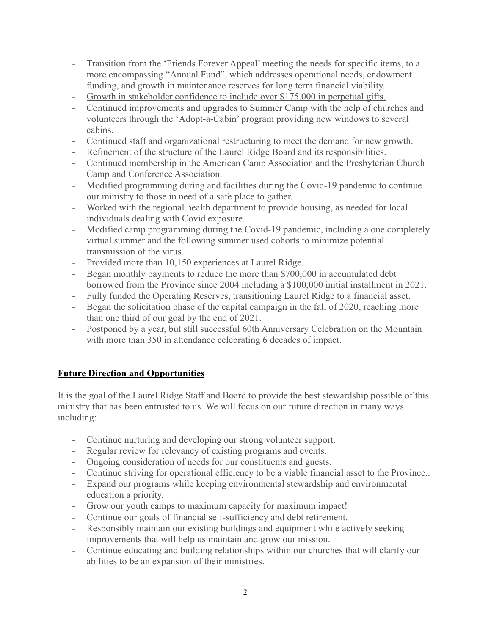- Transition from the 'Friends Forever Appeal' meeting the needs for specific items, to a more encompassing "Annual Fund", which addresses operational needs, endowment funding, and growth in maintenance reserves for long term financial viability.
- Growth in stakeholder confidence to include over \$175,000 in perpetual gifts.
- Continued improvements and upgrades to Summer Camp with the help of churches and volunteers through the 'Adopt-a-Cabin' program providing new windows to several cabins.
- Continued staff and organizational restructuring to meet the demand for new growth.
- Refinement of the structure of the Laurel Ridge Board and its responsibilities.
- Continued membership in the American Camp Association and the Presbyterian Church Camp and Conference Association.
- Modified programming during and facilities during the Covid-19 pandemic to continue our ministry to those in need of a safe place to gather.
- Worked with the regional health department to provide housing, as needed for local individuals dealing with Covid exposure.
- Modified camp programming during the Covid-19 pandemic, including a one completely virtual summer and the following summer used cohorts to minimize potential transmission of the virus.
- Provided more than 10,150 experiences at Laurel Ridge.
- Began monthly payments to reduce the more than \$700,000 in accumulated debt borrowed from the Province since 2004 including a \$100,000 initial installment in 2021.
- Fully funded the Operating Reserves, transitioning Laurel Ridge to a financial asset.
- Began the solicitation phase of the capital campaign in the fall of 2020, reaching more than one third of our goal by the end of 2021.
- Postponed by a year, but still successful 60th Anniversary Celebration on the Mountain with more than 350 in attendance celebrating 6 decades of impact.

## **Future Direction and Opportunities**

It is the goal of the Laurel Ridge Staff and Board to provide the best stewardship possible of this ministry that has been entrusted to us. We will focus on our future direction in many ways including:

- Continue nurturing and developing our strong volunteer support.
- Regular review for relevancy of existing programs and events.
- Ongoing consideration of needs for our constituents and guests.
- Continue striving for operational efficiency to be a viable financial asset to the Province..
- Expand our programs while keeping environmental stewardship and environmental education a priority.
- Grow our youth camps to maximum capacity for maximum impact!
- Continue our goals of financial self-sufficiency and debt retirement.
- Responsibly maintain our existing buildings and equipment while actively seeking improvements that will help us maintain and grow our mission.
- Continue educating and building relationships within our churches that will clarify our abilities to be an expansion of their ministries.